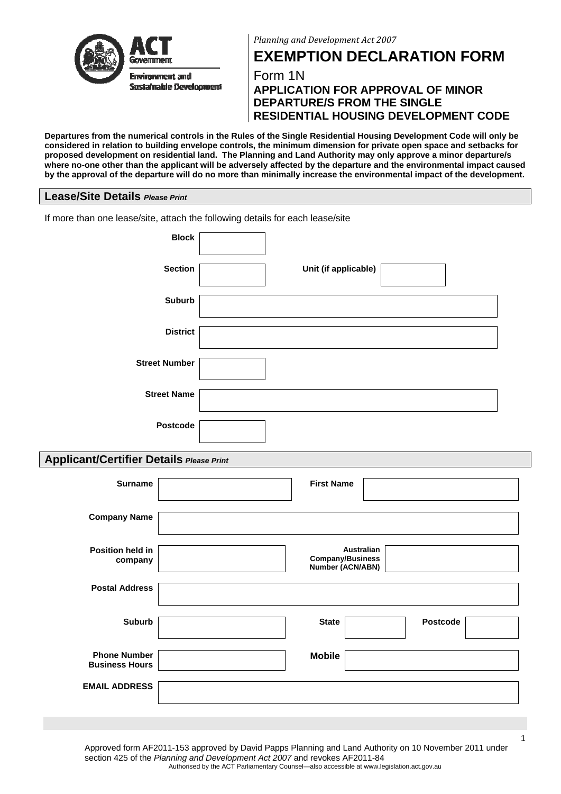



**EXEMPTION DECLARATION FORM** 

Form 1N **APPLICATION FOR APPROVAL OF MINOR DEPARTURE/S FROM THE SINGLE RESIDENTIAL HOUSING DEVELOPMENT CODE**

**Departures from the numerical controls in the Rules of the Single Residential Housing Development Code will only be considered in relation to building envelope controls, the minimum dimension for private open space and setbacks for proposed development on residential land. The Planning and Land Authority may only approve a minor departure/s where no-one other than the applicant will be adversely affected by the departure and the environmental impact caused by the approval of the departure will do no more than minimally increase the environmental impact of the development.** 

#### **Lease/Site Details** *Please Print*

| If more than one lease/site, attach the following details for each lease/site |                      |
|-------------------------------------------------------------------------------|----------------------|
| <b>Block</b>                                                                  |                      |
| <b>Section</b>                                                                | Unit (if applicable) |
| <b>Suburb</b>                                                                 |                      |
| <b>District</b>                                                               |                      |
| <b>Street Number</b>                                                          |                      |
|                                                                               |                      |
| <b>Street Name</b>                                                            |                      |
| Postcode                                                                      |                      |

## **Applicant/Certifier Details** *Please Print*

| <b>Surname</b>                               | <b>First Name</b>                                                |
|----------------------------------------------|------------------------------------------------------------------|
| <b>Company Name</b>                          |                                                                  |
| <b>Position held in</b><br>company           | <b>Australian</b><br><b>Company/Business</b><br>Number (ACN/ABN) |
| <b>Postal Address</b>                        |                                                                  |
| <b>Suburb</b>                                | <b>State</b><br><b>Postcode</b>                                  |
| <b>Phone Number</b><br><b>Business Hours</b> | <b>Mobile</b>                                                    |
| <b>EMAIL ADDRESS</b>                         |                                                                  |

Approved form AF2011-153 approved by David Papps Planning and Land Authority on 10 November 2011 under section 425 of the *Planning and Development Act 2007* and revokes AF2011-84 Authorised by the ACT Parliamentary Counsel—also accessible at www.legislation.act.gov.au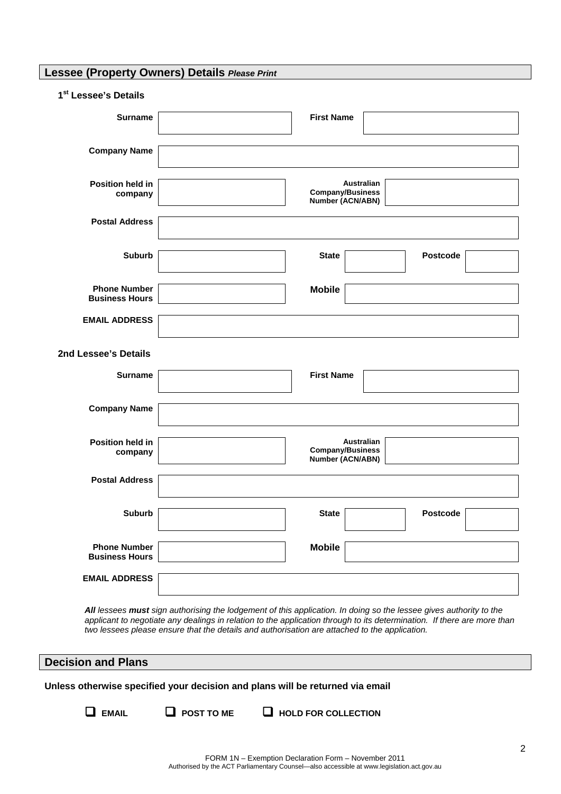# **Lessee (Property Owners) Details** *Please Print*

| 1 <sup>st</sup> Lessee's Details |  |
|----------------------------------|--|
|----------------------------------|--|

| <b>Surname</b>                               | <b>First Name</b>                                         |
|----------------------------------------------|-----------------------------------------------------------|
| <b>Company Name</b>                          |                                                           |
| Position held in<br>company                  | Australian<br><b>Company/Business</b><br>Number (ACN/ABN) |
| <b>Postal Address</b>                        |                                                           |
| <b>Suburb</b>                                | <b>Postcode</b><br><b>State</b>                           |
| <b>Phone Number</b><br><b>Business Hours</b> | <b>Mobile</b>                                             |
| <b>EMAIL ADDRESS</b>                         |                                                           |
| 2nd Lessee's Details                         |                                                           |
| <b>Surname</b>                               | <b>First Name</b>                                         |
| <b>Company Name</b>                          |                                                           |
| Position held in<br>company                  | Australian<br><b>Company/Business</b><br>Number (ACN/ABN) |
| <b>Postal Address</b>                        |                                                           |
| <b>Suburb</b>                                | <b>Postcode</b><br><b>State</b>                           |
| <b>Phone Number</b><br><b>Business Hours</b> | <b>Mobile</b>                                             |
| <b>EMAIL ADDRESS</b>                         |                                                           |
|                                              |                                                           |

*All lessees must sign authorising the lodgement of this application. In doing so the lessee gives authority to the applicant to negotiate any dealings in relation to the application through to its determination. If there are more than two lessees please ensure that the details and authorisation are attached to the application.* 

# **Decision and Plans**

**Unless otherwise specified your decision and plans will be returned via email** 

- 
- **EMAIL POST TO ME HOLD FOR COLLECTION**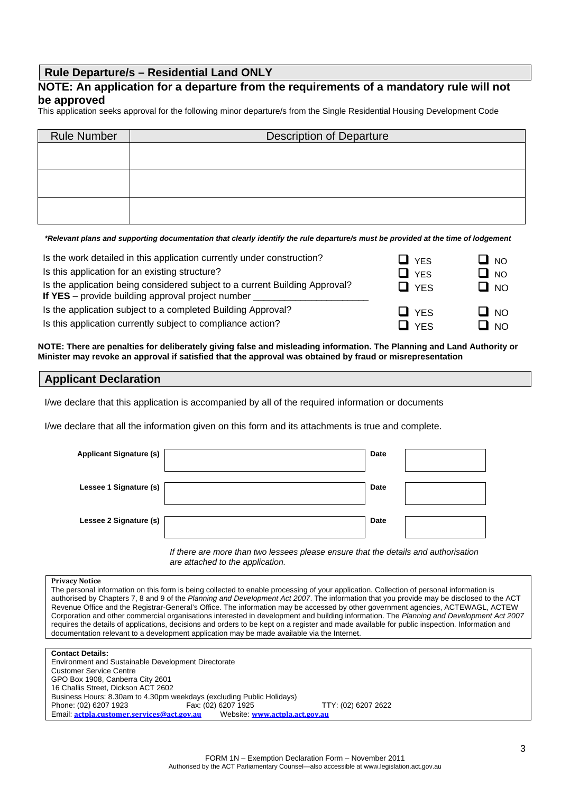### **Rule Departure/s – Residential Land ONLY**

#### **NOTE: An application for a departure from the requirements of a mandatory rule will not be approved**

This application seeks approval for the following minor departure/s from the Single Residential Housing Development Code

| <b>Rule Number</b> | <b>Description of Departure</b> |
|--------------------|---------------------------------|
|                    |                                 |
|                    |                                 |
|                    |                                 |
|                    |                                 |
|                    |                                 |
|                    |                                 |

*\*Relevant plans and supporting documentation that clearly identify the rule departure/s must be provided at the time of lodgement* 

| Is the work detailed in this application currently under construction?                                                           | $\Box$ yes | LI NO                                        |
|----------------------------------------------------------------------------------------------------------------------------------|------------|----------------------------------------------|
| Is this application for an existing structure?                                                                                   | 口 yes      | $\square$ NO                                 |
| Is the application being considered subject to a current Building Approval?<br>If YES - provide building approval project number | $\Box$ YES | $\Box$ No                                    |
| Is the application subject to a completed Building Approval?                                                                     | $\Box$ YES | $\Box$ No                                    |
| Is this application currently subject to compliance action?                                                                      | $\Box$ YFS | $\blacksquare$ $\blacksquare$ $\blacksquare$ |

**NOTE: There are penalties for deliberately giving false and misleading information. The Planning and Land Authority or Minister may revoke an approval if satisfied that the approval was obtained by fraud or misrepresentation**

#### **Applicant Declaration**

I/we declare that this application is accompanied by all of the required information or documents

I/we declare that all the information given on this form and its attachments is true and complete.

| <b>Applicant Signature (s)</b> | Date        |  |
|--------------------------------|-------------|--|
| Lessee 1 Signature (s)         | Date        |  |
| Lessee 2 Signature (s)         | <b>Date</b> |  |

*If there are more than two lessees please ensure that the details and authorisation are attached to the application.* 

#### **Privacy Notice**

The personal information on this form is being collected to enable processing of your application. Collection of personal information is authorised by Chapters 7, 8 and 9 of the *Planning and Development Act 2007*. The information that you provide may be disclosed to the ACT Revenue Office and the Registrar-General's Office. The information may be accessed by other government agencies, ACTEWAGL, ACTEW Corporation and other commercial organisations interested in development and building information. The *Planning and Development Act 2007* requires the details of applications, decisions and orders to be kept on a register and made available for public inspection. Information and documentation relevant to a development application may be made available via the Internet.

**Contact Details:**  Environment and Sustainable Development Directorate Customer Service Centre GPO Box 1908, Canberra City 2601 16 Challis Street, Dickson ACT 2602 Business Hours: 8.30am to 4.30pm weekdays (excluding Public Holidays) Phone: (02) 6207 1923 Fax: (02) 6207 1925 TTY: (02) 6207 2622 Email: **[actpla.customer.services@act.gov.au](mailto:actpla.customer.services@act.gov.au)** Website: **[www.actpla.act.gov.au](http://www.actpla.act.gov.au/)**